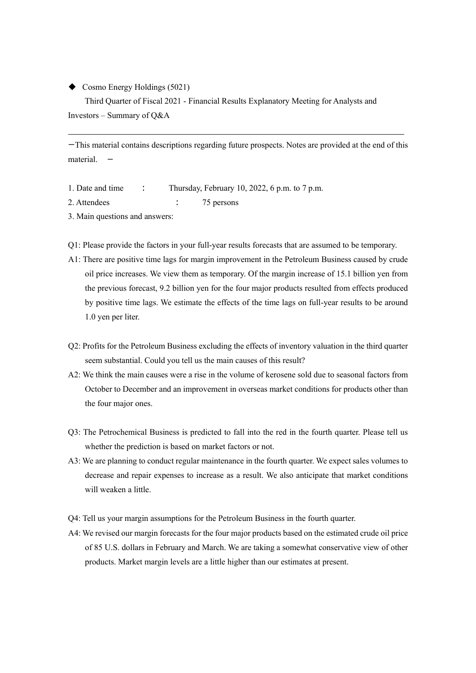◆ Cosmo Energy Holdings (5021)

Third Quarter of Fiscal 2021 - Financial Results Explanatory Meeting for Analysts and Investors – Summary of Q&A

ーThis material contains descriptions regarding future prospects. Notes are provided at the end of this material.

- 1. Date and time : Thursday, February 10, 2022, 6 p.m. to 7 p.m.
- 2. Attendees : 75 persons
- 3. Main questions and answers:
- Q1: Please provide the factors in your full-year results forecasts that are assumed to be temporary.
- A1: There are positive time lags for margin improvement in the Petroleum Business caused by crude oil price increases. We view them as temporary. Of the margin increase of 15.1 billion yen from the previous forecast, 9.2 billion yen for the four major products resulted from effects produced by positive time lags. We estimate the effects of the time lags on full-year results to be around 1.0 yen per liter.
- Q2: Profits for the Petroleum Business excluding the effects of inventory valuation in the third quarter seem substantial. Could you tell us the main causes of this result?
- A2: We think the main causes were a rise in the volume of kerosene sold due to seasonal factors from October to December and an improvement in overseas market conditions for products other than the four major ones.
- Q3: The Petrochemical Business is predicted to fall into the red in the fourth quarter. Please tell us whether the prediction is based on market factors or not.
- A3: We are planning to conduct regular maintenance in the fourth quarter. We expect sales volumes to decrease and repair expenses to increase as a result. We also anticipate that market conditions will weaken a little.
- Q4: Tell us your margin assumptions for the Petroleum Business in the fourth quarter.
- A4: We revised our margin forecasts for the four major products based on the estimated crude oil price of 85 U.S. dollars in February and March. We are taking a somewhat conservative view of other products. Market margin levels are a little higher than our estimates at present.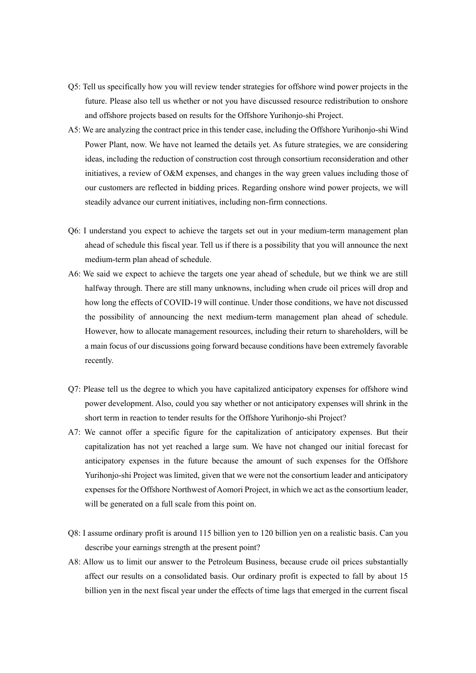- Q5: Tell us specifically how you will review tender strategies for offshore wind power projects in the future. Please also tell us whether or not you have discussed resource redistribution to onshore and offshore projects based on results for the Offshore Yurihonjo-shi Project.
- A5: We are analyzing the contract price in this tender case, including the Offshore Yurihonjo-shi Wind Power Plant, now. We have not learned the details yet. As future strategies, we are considering ideas, including the reduction of construction cost through consortium reconsideration and other initiatives, a review of O&M expenses, and changes in the way green values including those of our customers are reflected in bidding prices. Regarding onshore wind power projects, we will steadily advance our current initiatives, including non-firm connections.
- Q6: I understand you expect to achieve the targets set out in your medium-term management plan ahead of schedule this fiscal year. Tell us if there is a possibility that you will announce the next medium-term plan ahead of schedule.
- A6: We said we expect to achieve the targets one year ahead of schedule, but we think we are still halfway through. There are still many unknowns, including when crude oil prices will drop and how long the effects of COVID-19 will continue. Under those conditions, we have not discussed the possibility of announcing the next medium-term management plan ahead of schedule. However, how to allocate management resources, including their return to shareholders, will be a main focus of our discussions going forward because conditions have been extremely favorable recently.
- Q7: Please tell us the degree to which you have capitalized anticipatory expenses for offshore wind power development. Also, could you say whether or not anticipatory expenses will shrink in the short term in reaction to tender results for the Offshore Yurihonjo-shi Project?
- A7: We cannot offer a specific figure for the capitalization of anticipatory expenses. But their capitalization has not yet reached a large sum. We have not changed our initial forecast for anticipatory expenses in the future because the amount of such expenses for the Offshore Yurihonjo-shi Project was limited, given that we were not the consortium leader and anticipatory expenses for the Offshore Northwest of Aomori Project, in which we act as the consortium leader, will be generated on a full scale from this point on.
- Q8: I assume ordinary profit is around 115 billion yen to 120 billion yen on a realistic basis. Can you describe your earnings strength at the present point?
- A8: Allow us to limit our answer to the Petroleum Business, because crude oil prices substantially affect our results on a consolidated basis. Our ordinary profit is expected to fall by about 15 billion yen in the next fiscal year under the effects of time lags that emerged in the current fiscal